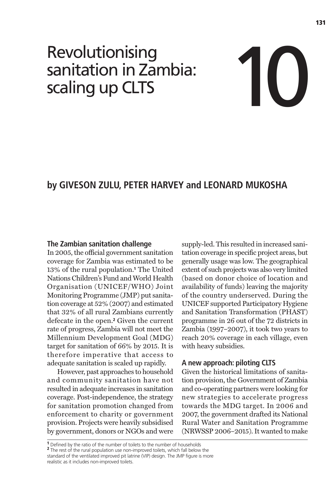# Revolutionising sanitation in Zambia: Revolutionising<br>sanitation in Zambia:<br>scaling up CLTS



# **by GIVESON ZULU, PETER HARVEY and LEONARD MUKOSHA**

# **The Zambian sanitation challenge**

In 2005, the official government sanitation coverage for Zambia was estimated to be 13% of the rural population.**<sup>1</sup>** The United Nations Children's Fund and World Health Organisation (UNICEF/WHO) Joint Monitoring Programme (JMP) put sanitation coverage at 52% (2007) and estimated that 32% of all rural Zambians currently defecate in the open.**<sup>2</sup>** Given the current rate of progress, Zambia will not meet the Millennium Development Goal (MDG) target for sanitation of 66% by 2015. It is therefore imperative that access to adequate sanitation is scaled up rapidly.

However, past approaches to household and community sanitation have not resulted in adequate increases in sanitation coverage. Post-independence, the strategy for sanitation promotion changed from enforcement to charity or government provision. Projects were heavily subsidised by government, donors or NGOs and were

supply-led. This resulted in increased sanitation coverage in specific project areas, but generally usage was low. The geographical extent of such projects was also very limited (based on donor choice of location and availability of funds) leaving the majority of the country underserved. During the UNICEF supported Participatory Hygiene and Sanitation Transformation (PHAST) programme in 26 out of the 72 districts in Zambia (1997–2007), it took two years to reach 20% coverage in each village, even with heavy subsidies.

# **A new approach: piloting CLTS**

Given the historical limitations of sanitation provision, the Government of Zambia and co-operating partners were looking for new strategies to accelerate progress towards the MDG target. In 2006 and 2007, the government drafted its National Rural Water and Sanitation Programme (NRWSSP 2006–2015). It wanted to make

**<sup>1</sup>** Defined by the ratio of the number of toilets to the number of households **<sup>2</sup>** The rest of the rural population use non-improved toilets, which fall below the standard of the ventilated improved pit latrine (VIP) design. The JMP figure is more realistic as it includes non-improved toilets.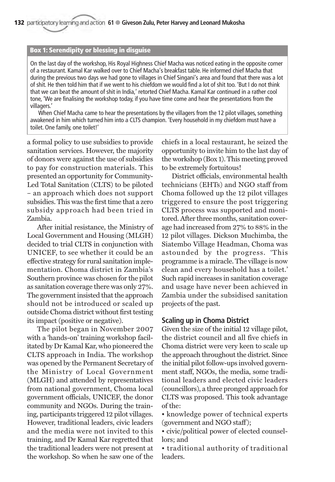#### **Box 1: Serendipity or blessing in disguise**

On the last day of the workshop, His Royal Highness Chief Macha was noticed eating in the opposite corner of a restaurant. Kamal Kar walked over to Chief Macha's breakfast table. He informed chief Macha that during the previous two days we had gone to villages in Chief Singani's area and found that there was a lot of shit. He then told him that if we went to his chiefdom we would find a lot of shit too. 'But I do not think that we can beat the amount of shit in India,' retorted Chief Macha. Kamal Kar continued in a rather cool tone, 'We are finalising the workshop today, if you have time come and hear the presentations from the villagers.'

When Chief Macha came to hear the presentations by the villagers from the 12 pilot villages, something awakened in him which turned him into a CLTS champion. 'Every household in my chiefdom must have a toilet. One family, one toilet!'

a formal policy to use subsidies to provide sanitation services. However, the majority of donors were against the use of subsidies to pay for construction materials. This presented an opportunity for Community-Led Total Sanitation (CLTS) to be piloted – an approach which does not support subsidies. This was the first time that a zero subsidy approach had been tried in Zambia.

After initial resistance, the Ministry of Local Government and Housing (MLGH) decided to trial CLTS in conjunction with UNICEF, to see whether it could be an effective strategy for rural sanitation implementation. Choma district in Zambia's Southern province was chosen for the pilot as sanitation coverage there was only 27%. The government insisted that the approach should not be introduced or scaled up outside Choma district without first testing its impact (positive or negative).

The pilot began in November 2007 with a 'hands-on' training workshop facilitated by Dr Kamal Kar, who pioneered the CLTS approach in India. The workshop was opened by the Permanent Secretary of the Ministry of Local Government (MLGH) and attended by representatives from national government, Choma local government officials, UNICEF, the donor community and NGOs. During the training, participants triggered 12 pilot villages. However, traditional leaders, civic leaders and the media were not invited to this training, and Dr Kamal Kar regretted that the traditional leaders were not present at the workshop. So when he saw one of the

chiefs in a local restaurant, he seized the opportunity to invite him to the last day of the workshop (Box 1). This meeting proved to be extremely fortuitous!

District officials, environmental health technicians (EHTs) and NGO staff from Choma followed up the 12 pilot villages triggered to ensure the post triggering CLTS process was supported and monitored. After three months, sanitation coverage had increased from 27% to 88% in the 12 pilot villages. Dickson Muchimba, the Siatembo Village Headman, Choma was astounded by the progress. 'This programme is a miracle. The village is now clean and every household has a toilet.' Such rapid increases in sanitation coverage and usage have never been achieved in Zambia under the subsidised sanitation projects of the past.

# **Scaling up in Choma District**

Given the size of the initial 12 village pilot, the district council and all five chiefs in Choma district were very keen to scale up the approach throughout the district. Since the initial pilot follow-ups involved government staff, NGOs, the media, some traditional leaders and elected civic leaders (councillors), a three pronged approach for CLTS was proposed. This took advantage of the:

• knowledge power of technical experts (government and NGO staff);

• civic/political power of elected counsellors; and

• traditional authority of traditional leaders.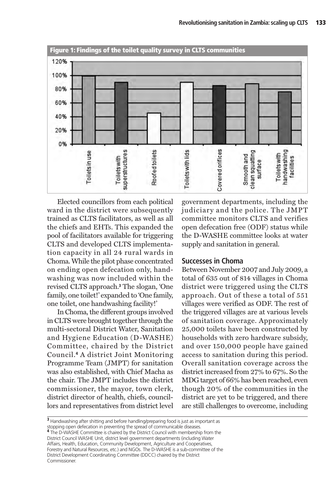

Elected councillors from each political ward in the district were subsequently trained as CLTS facilitators, as well as all the chiefs and EHTs. This expanded the pool of facilitators available for triggering CLTS and developed CLTS implementation capacity in all 24 rural wards in Choma. While the pilot phase concentrated on ending open defecation only, handwashing was now included within the revised CLTS approach.**<sup>3</sup>** The slogan, 'One family, one toilet!' expanded to 'One family, one toilet, one handwashing facility!'

In Choma, the different groups involved in CLTS were brought together through the multi-sectoral District Water, Sanitation and Hygiene Education (D-WASHE) Committee, chaired by the District Council.**<sup>4</sup>** A district Joint Monitoring Programme Team (JMPT) for sanitation was also established, with Chief Macha as the chair. The JMPT includes the district commissioner, the mayor, town clerk, district director of health, chiefs, councillors and representatives from district level government departments, including the judiciary and the police. The JMPT committee monitors CLTS and verifies open defecation free (ODF) status while the D-WASHE committee looks at water supply and sanitation in general.

# **Successes in Choma**

Between November 2007 and July 2009, a total of 635 out of 814 villages in Choma district were triggered using the CLTS approach. Out of these a total of 551 villages were verified as ODF. The rest of the triggered villages are at various levels of sanitation coverage. Approximately 25,000 toilets have been constructed by households with zero hardware subsidy, and over 150,000 people have gained access to sanitation during this period. Overall sanitation coverage across the district increased from 27% to 67%. So the MDG target of 66% has been reached, even though 20% of the communities in the district are yet to be triggered, and there are still challenges to overcome, including

**<sup>3</sup>** Handwashing after shitting and before handling/preparing food is just as important as stopping open defecation in preventing the spread of communicable diseases. **<sup>4</sup>** The D-WASHE Committee is chaired by the District Council with membership from the District Council WASHE Unit, district level government departments (including Water Affairs, Health, Education, Community Development, Agriculture and Cooperatives, Forestry and Natural Resources, etc.) and NGOs. The D-WASHE is a sub-committee of the District Development Coordinating Committee (DDCC) chaired by the District Commissioner.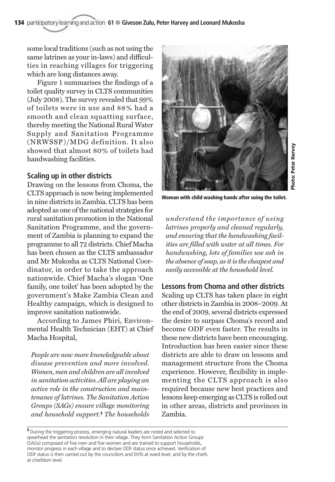some local traditions (such as not using the same latrines as your in-laws) and difficulties in reaching villages for triggering which are long distances away.

Figure 1 summarises the findings of a toilet quality survey in CLTS communities (July 2008). The survey revealed that 99% of toilets were in use and 88% had a smooth and clean squatting surface, thereby meeting the National Rural Water Supply and Sanitation Programme (NRWSSP)/MDG definition. It also showed that almost 80% of toilets had handwashing facilities.

# **Scaling up in other districts**

Drawing on the lessons from Choma, the CLTS approach is now being implemented in nine districts in Zambia. CLTS has been adopted as one of the national strategies for rural sanitation promotion in the National Sanitation Programme, and the government of Zambia is planning to expand the programme to all 72 districts. Chief Macha has been chosen as the CLTS ambassador and Mr Mukosha as CLTS National Coordinator, in order to take the approach nationwide. Chief Macha's slogan 'One family, one toilet' has been adopted by the government's Make Zambia Clean and Healthy campaign, which is designed to improve sanitation nationwide.

According to James Phiri, Environmental Health Technician (EHT) at Chief Macha Hospital,

*People are now more knowledgeable about disease prevention and more involved. Women, men and children are all involved in sanitation activities. All are playing an active role in the construction and maintenance of latrines. The Sanitation Action Groups (SAGs) ensure village monitoring and household support.***<sup>5</sup>** *The households*



**Woman with child washing hands after using the toilet.**

*understand the importance of using latrines properly and cleaned regularly, and ensuring that the handwashing facilities are filled with water at all times. For handwashing, lots of families use ash in the absence of soap, as it is the cheapest and easily accessible at the household level.*

# **Lessons from Choma and other districts**

Scaling up CLTS has taken place in eight other districts in Zambia in 2008–2009. At the end of 2009, several districts expressed the desire to surpass Choma's record and become ODF even faster. The results in these new districts have been encouraging. Introduction has been easier since these districts are able to draw on lessons and management structure from the Choma experience. However, flexibility in implementing the CLTS approach is also required because new best practices and lessons keep emerging as CLTS is rolled out in other areas, districts and provinces in Zambia.

**<sup>5</sup>**During the triggering process, emerging natural leaders are noted and selected to spearhead the sanitation revolution in their village. They form Sanitation Action Groups (SAGs) composed of five men and five women and are trained to support households, monitor progress in each village and to declare ODF status once achieved. Verification of ODF status is then carried out by the councillors and EHTs at ward level, and by the chiefs at chiefdom level.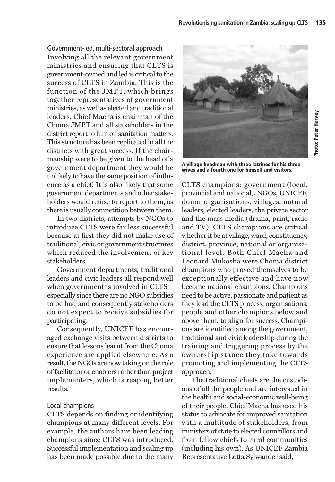Government-led, multi-sectoral approach Involving all the relevant government ministries and ensuring that CLTS is government-owned and led is critical to the success of CLTS in Zambia. This is the function of the JMPT, which brings together representatives of government ministries, as well as elected and traditional leaders. Chief Macha is chairman of the Choma JMPT and all stakeholders in the district report to him on sanitation matters. This structure has been replicated in all the districts with great success. If the chairmanship were to be given to the head of a government department they would be unlikely to have the same position of influence as a chief. It is also likely that some government departments and other stakeholders would refuse to report to them, as there is usually competition between them.

In two districts, attempts by NGOs to introduce CLTS were far less successful because at first they did not make use of traditional, civic or government structures which reduced the involvement of key stakeholders.

Government departments, traditional leaders and civic leaders all respond well when government is involved in CLTS – especially since there are no NGO subsidies to be had and consequently stakeholders do not expect to receive subsidies for participating.

Consequently, UNICEF has encouraged exchange visits between districts to ensure that lessons learnt from the Choma experience are applied elsewhere. As a result, the NGOs are now taking on the role of facilitator or enablers rather than project implementers, which is reaping better results.

# Local champions

CLTS depends on finding or identifying champions at many different levels. For example, the authors have been leading champions since CLTS was introduced. Successful implementation and scaling up has been made possible due to the many



**A village headman with three latrines for his three wives and a fourth one for himself and visitors.** 

CLTS champions: government (local, provincial and national), NGOs, UNICEF, donor organisations, villages, natural leaders, elected leaders, the private sector and the mass media (drama, print, radio and TV). CLTS champions are critical whether it be at village, ward, constituency, district, province, national or organisational level. Both Chief Macha and Leonard Mukosha were Choma district champions who proved themselves to be exceptionally effective and have now become national champions. Champions need to be active, passionate and patient as they lead the CLTS process, organisations, people and other champions below and above them, to align for success. Champions are identified among the government, traditional and civic leadership during the training and triggering process by the ownership stance they take towards promoting and implementing the CLTS approach.

The traditional chiefs are the custodians of all the people and are interested in the health and social-economic well-being of their people. Chief Macha has used his status to advocate for improved sanitation with a multitude of stakeholders, from ministers of state to elected councillors and from fellow chiefs to rural communities (including his own). As UNICEF Zambia Representative Lotta Sylwander said,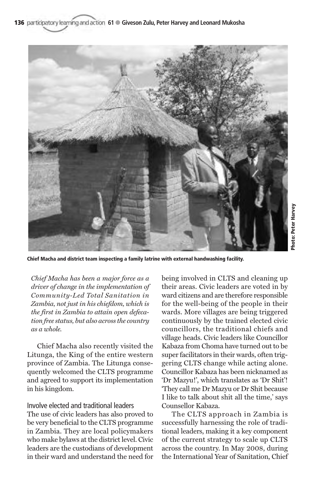136 participatory learning and action 61 · Giveson Zulu, Peter Harvey and Leonard Mukosha



**Chief Macha and district team inspecting a family latrine with external handwashing facility.**

*Chief Macha has been a major force as a driver of change in the implementation of Community-Led Total Sanitation in Zambia, not just in his chiefdom, which is the first in Zambia to attain open defecation free status, but also across the country as a whole.*

Chief Macha also recently visited the Litunga, the King of the entire western province of Zambia. The Litunga consequently welcomed the CLTS programme and agreed to support its implementation in his kingdom.

#### Involve elected and traditional leaders

The use of civic leaders has also proved to be very beneficial to the CLTS programme in Zambia. They are local policymakers who make bylaws at the district level. Civic leaders are the custodians of development in their ward and understand the need for

being involved in CLTS and cleaning up their areas. Civic leaders are voted in by ward citizens and are therefore responsible for the well-being of the people in their wards. More villages are being triggered continuously by the trained elected civic councillors, the traditional chiefs and village heads. Civic leaders like Councillor Kabaza from Choma have turned out to be super facilitators in their wards, often triggering CLTS change while acting alone. Councillor Kabaza has been nicknamed as 'Dr Mazyu!', which translates as 'Dr Shit'! 'They call me Dr Mazyu or Dr Shit because I like to talk about shit all the time,' says Counsellor Kabaza.

The CLTS approach in Zambia is successfully harnessing the role of traditional leaders, making it a key component of the current strategy to scale up CLTS across the country. In May 2008, during the International Year of Sanitation, Chief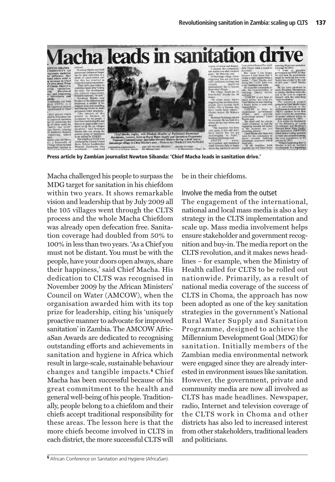**Macha leads in sanitation dri** 



**Press article by Zambian journalist Newton Sibanda: 'Chief Macha leads in sanitation drive.'**

Macha challenged his people to surpass the MDG target for sanitation in his chiefdom within two years. It shows remarkable vision and leadership that by July 2009 all the 105 villages went through the CLTS process and the whole Macha Chiefdom was already open defecation free. Sanitation coverage had doubled from 50% to 100% in less than two years. 'As a Chief you must not be distant. You must be with the people, have your doors open always, share their happiness,' said Chief Macha. His dedication to CLTS was recognised in November 2009 by the African Ministers' Council on Water (AMCOW), when the organisation awarded him with its top prize for leadership, citing his 'uniquely proactive manner to advocate for improved sanitation' in Zambia. The AMCOW AfricaSan Awards are dedicated to recognising outstanding efforts and achievements in sanitation and hygiene in Africa which result in large-scale, sustainable behaviour changes and tangible impacts.**<sup>6</sup>** Chief Macha has been successful because of his great commitment to the health and general well-being of his people. Traditionally, people belong to a chiefdom and their chiefs accept traditional responsibility for these areas. The lesson here is that the more chiefs become involved in CLTS in each district, the more successful CLTS will be in their chiefdoms.

Involve the media from the outset The engagement of the international, national and local mass media is also a key strategy in the CLTS implementation and scale up. Mass media involvement helps ensure stakeholder and government recognition and buy-in. The media report on the CLTS revolution, and it makes news headlines – for example, when the Ministry of Health called for CLTS to be rolled out nationwide. Primarily, as a result of national media coverage of the success of CLTS in Choma, the approach has now been adopted as one of the key sanitation strategies in the government's National Rural Water Supply and Sanitation Programme, designed to achieve the Millennium Development Goal (MDG) for sanitation. Initially members of the Zambian media environmental network were engaged since they are already interested in environment issues like sanitation. However, the government, private and community media are now all involved as CLTS has made headlines. Newspaper, radio, Internet and television coverage of the CLTS work in Choma and other districts has also led to increased interest from other stakeholders, traditional leaders and politicians.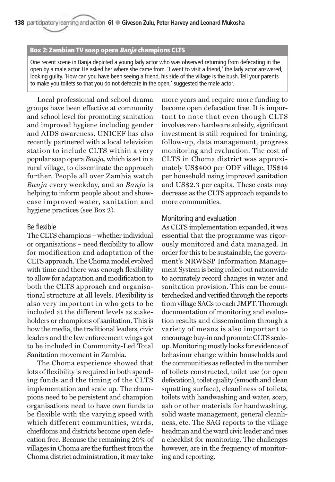#### **Box 2: Zambian TV soap opera Banja champions CLTS**

One recent scene in Banja depicted a young lady actor who was observed returning from defecating in the open by a male actor. He asked her where she came from. 'I went to visit a friend,' the lady actor answered, looking guilty. 'How can you have been seeing a friend, his side of the village is the bush. Tell your parents to make you toilets so that you do not defecate in the open,' suggested the male actor.

Local professional and school drama groups have been effective at community and school level for promoting sanitation and improved hygiene including gender and AIDS awareness. UNICEF has also recently partnered with a local television station to include CLTS within a very popular soap opera *Banja*, which is set in a rural village, to disseminate the approach further. People all over Zambia watch *Banja* every weekday, and so *Banja* is helping to inform people about and showcase improved water, sanitation and hygiene practices (see Box 2).

#### Be flexible

The CLTS champions – whether individual or organisations – need flexibility to allow for modification and adaptation of the CLTS approach. The Choma model evolved with time and there was enough flexibility to allow for adaptation and modification to both the CLTS approach and organisational structure at all levels. Flexibility is also very important in who gets to be included at the different levels as stakeholders or champions of sanitation. This is how the media, the traditional leaders, civic leaders and the law enforcement wings got to be included in Community-Led Total Sanitation movement in Zambia.

The Choma experience showed that lots of flexibility is required in both spending funds and the timing of the CLTS implementation and scale up. The champions need to be persistent and champion organisations need to have own funds to be flexible with the varying speed with which different communities, wards, chiefdoms and districts become open defecation free. Because the remaining 20% of villages in Choma are the furthest from the Choma district administration, it may take

more years and require more funding to become open defecation free. It is important to note that even though CLTS involves zero hardware subsidy, significant investment is still required for training, follow-up, data management, progress monitoring and evaluation. The cost of CLTS in Choma district was approximately US\$400 per ODF village, US\$14 per household using improved sanitation and US\$2.3 per capita. These costs may decrease as the CLTS approach expands to more communities.

### Monitoring and evaluation

As CLTS implementation expanded, it was essential that the programme was rigorously monitored and data managed. In order for this to be sustainable, the government's NRWSSP Information Management System is being rolled out nationwide to accurately record changes in water and sanitation provision. This can be counterchecked and verified through the reports from village SAGs to each JMPT. Thorough documentation of monitoring and evaluation results and dissemination through a variety of means is also important to encourage buy-in and promote CLTS scaleup. Monitoring mostly looks for evidence of behaviour change within households and the communities as reflected in the number of toilets constructed, toilet use (or open defecation), toilet quality (smooth and clean squatting surface), cleanliness of toilets, toilets with handwashing and water, soap, ash or other materials for handwashing, solid waste management, general cleanliness, etc. The SAG reports to the village headman and the ward civic leader and uses a checklist for monitoring. The challenges however, are in the frequency of monitoring and reporting.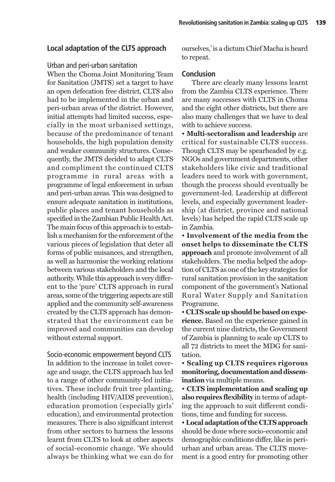# **Local adaptation of the CLTS approach**

#### Urban and peri-urban sanitation

When the Choma Joint Monitoring Team for Sanitation (JMTS) set a target to have an open defecation free district, CLTS also had to be implemented in the urban and peri-urban areas of the district. However, initial attempts had limited success, especially in the most urbanised settings, because of the predominance of tenant households, the high population density and weaker community structures. Consequently, the JMTS decided to adapt CLTS and compliment the continued CLTS programme in rural areas with a programme of legal enforcement in urban and peri-urban areas. This was designed to ensure adequate sanitation in institutions, public places and tenant households as specified in the Zambian Public Health Act. The main focus of this approach is to establish a mechanism for the enforcement of the various pieces of legislation that deter all forms of public nuisances, and strengthen, as well as harmonise the working relations between various stakeholders and the local authority. While this approach is very different to the 'pure' CLTS approach in rural areas, some of the triggering aspects are still applied and the community self-awareness created by the CLTS approach has demonstrated that the environment can be improved and communities can develop without external support.

Socio-economic empowerment beyond CLTS In addition to the increase in toilet coverage and usage, the CLTS approach has led to a range of other community-led initiatives. These include fruit tree planting, health (including HIV/AIDS prevention), education promotion (especially girls' education), and environmental protection measures. There is also significant interest from other sectors to harness the lessons learnt from CLTS to look at other aspects of social-economic change. 'We should always be thinking what we can do for

ourselves,' is a dictum Chief Macha is heard to repeat.

# **Conclusion**

There are clearly many lessons learnt from the Zambia CLTS experience. There are many successes with CLTS in Choma and the eight other districts, but there are also many challenges that we have to deal with to achieve success.

• **Multi-sectoralism and leadership** are critical for sustainable CLTS success. Though CLTS may be spearheaded by e.g. NGOs and government departments, other stakeholders like civic and traditional leaders need to work with government, though the process should eventually be government-led. Leadership at different levels, and especially government leadership (at district, province and national levels) has helped the rapid CLTS scale up in Zambia.

• **Involvement of the media from the onset helps to disseminate the CLTS approach** and promote involvement of all stakeholders. The media helped the adoption of CLTS as one of the key strategies for rural sanitation provision in the sanitation component of the government's National Rural Water Supply and Sanitation Programme.

• **CLTS scale up should be based on experience.** Based on the experience gained in the current nine districts, the Government of Zambia is planning to scale up CLTS to all 72 districts to meet the MDG for sanitation.

• **Scaling up CLTS requires rigorous monitoring, documentation and dissemination** via multiple means.

• **CLTS implementation and scaling up also requires flexibility** in terms of adapting the approach to suit different conditions, time and funding for success.

• **Local adaptation of the CLTS approach** should be done where socio-economic and demographic conditions differ, like in periurban and urban areas. The CLTS movement is a good entry for promoting other